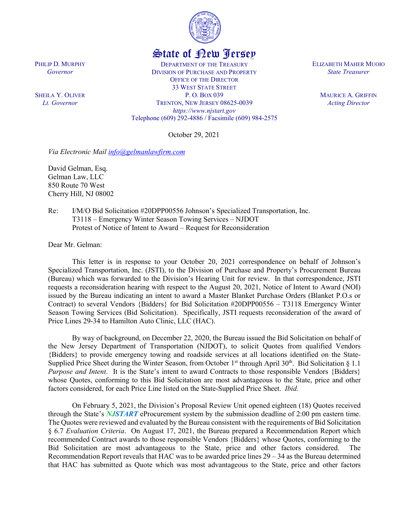

## State of New Jersey

DEPARTMENT OF THE TREASURY DIVISION OF PURCHASE AND PROPERTY OFFICE OF THE DIRECTOR 33 WEST STATE STREET P. O. BOX 039 TRENTON, NEW JERSEY 08625-0039 *https://www.njstart.gov* Telephone (609) 292-4886 / Facsimile (609) 984-2575

October 29, 2021

*Via Electronic Mail [info@gelmanlawfirm.com](mailto:info@gelmanlawfirm.com)*

David Gelman, Esq. Gelman Law, LLC 850 Route 70 West Cherry Hill, NJ 08002

PHILIP D. MURPHY *Governor*

SHEILA Y. OLIVER *Lt. Governor*

> Re: I/M/O Bid Solicitation #20DPP00556 Johnson's Specialized Transportation, Inc. T3118 – Emergency Winter Season Towing Services – NJDOT Protest of Notice of Intent to Award – Request for Reconsideration

Dear Mr. Gelman:

This letter is in response to your October 20, 2021 correspondence on behalf of Johnson's Specialized Transportation, Inc. (JSTI), to the Division of Purchase and Property's Procurement Bureau (Bureau) which was forwarded to the Division's Hearing Unit for review. In that correspondence, JSTI requests a reconsideration hearing with respect to the August 20, 2021, Notice of Intent to Award (NOI) issued by the Bureau indicating an intent to award a Master Blanket Purchase Orders (Blanket P.O.s or Contract) to several Vendors {Bidders} for Bid Solicitation #20DPP00556 – T3118 Emergency Winter Season Towing Services (Bid Solicitation). Specifically, JSTI requests reconsideration of the award of Price Lines 29-34 to Hamilton Auto Clinic, LLC (HAC).

By way of background, on December 22, 2020, the Bureau issued the Bid Solicitation on behalf of the New Jersey Department of Transportation (NJDOT), to solicit Quotes from qualified Vendors {Bidders} to provide emergency towing and roadside services at all locations identified on the State-Supplied Price Sheet during the Winter Season, from October 1<sup>st</sup> through April  $30<sup>th</sup>$ . Bid Solicitation § 1.1 *Purpose and Intent*. It is the State's intent to award Contracts to those responsible Vendors {Bidders} whose Quotes, conforming to this Bid Solicitation are most advantageous to the State, price and other factors considered, for each Price Line listed on the State-Supplied Price Sheet. *Ibid.*

On February 5, 2021, the Division's Proposal Review Unit opened eighteen (18) Quotes received through the State's *NJSTART* eProcurement system by the submission deadline of 2:00 pm eastern time. The Quotes were reviewed and evaluated by the Bureau consistent with the requirements of Bid Solicitation § 6.7 *Evaluation Criteria*. On August 17, 2021, the Bureau prepared a Recommendation Report which recommended Contract awards to those responsible Vendors {Bidders} whose Quotes, conforming to the Bid Solicitation are most advantageous to the State, price and other factors considered. The Recommendation Report reveals that HAC was to be awarded price lines 29 – 34 as the Bureau determined that HAC has submitted as Quote which was most advantageous to the State, price and other factors

ELIZABETH MAHER MUOIO *State Treasurer*

> MAURICE A. GRIFFIN *Acting Director*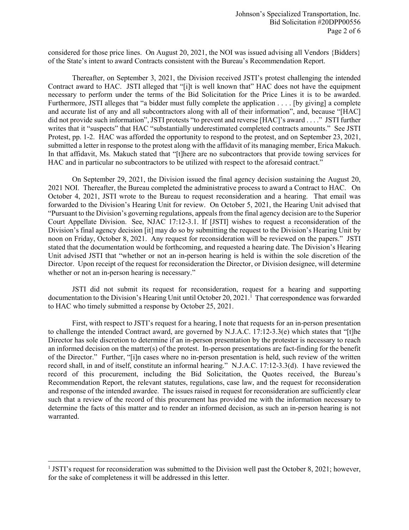considered for those price lines. On August 20, 2021, the NOI was issued advising all Vendors {Bidders} of the State's intent to award Contracts consistent with the Bureau's Recommendation Report.

Thereafter, on September 3, 2021, the Division received JSTI's protest challenging the intended Contract award to HAC. JSTI alleged that "[i]t is well known that" HAC does not have the equipment necessary to perform under the terms of the Bid Solicitation for the Price Lines it is to be awarded. Furthermore, JSTI alleges that "a bidder must fully complete the application . . . . [by giving] a complete and accurate list of any and all subcontractors along with all of their information", and, because "[HAC] did not provide such information", JSTI protests "to prevent and reverse [HAC]'s award . . . ." JSTI further writes that it "suspects" that HAC "substantially underestimated completed contracts amounts." See JSTI Protest, pp. 1-2. HAC was afforded the opportunity to respond to the protest, and on September 23, 2021, submitted a letter in response to the protest along with the affidavit of its managing member, Erica Makuch. In that affidavit, Ms. Makuch stated that "[t]here are no subcontractors that provide towing services for HAC and in particular no subcontractors to be utilized with respect to the aforesaid contract."

On September 29, 2021, the Division issued the final agency decision sustaining the August 20, 2021 NOI. Thereafter, the Bureau completed the administrative process to award a Contract to HAC. On October 4, 2021, JSTI wrote to the Bureau to request reconsideration and a hearing. That email was forwarded to the Division's Hearing Unit for review. On October 5, 2021, the Hearing Unit advised that "Pursuant to the Division's governing regulations, appeals from the final agency decision are to the Superior Court Appellate Division. See, NJAC 17:12-3.1. If [JSTI] wishes to request a reconsideration of the Division's final agency decision [it] may do so by submitting the request to the Division's Hearing Unit by noon on Friday, October 8, 2021. Any request for reconsideration will be reviewed on the papers." JSTI stated that the documentation would be forthcoming, and requested a hearing date. The Division's Hearing Unit advised JSTI that "whether or not an in-person hearing is held is within the sole discretion of the Director. Upon receipt of the request for reconsideration the Director, or Division designee, will determine whether or not an in-person hearing is necessary."

JSTI did not submit its request for reconsideration, request for a hearing and supporting documentation to the Division's Hearing Unit until October 20, 202[1](#page-1-0).<sup>1</sup> That correspondence was forwarded to HAC who timely submitted a response by October 25, 2021.

First, with respect to JSTI's request for a hearing, I note that requests for an in-person presentation to challenge the intended Contract award, are governed by N.J.A.C. 17:12-3.3(e) which states that "[t]he Director has sole discretion to determine if an in-person presentation by the protester is necessary to reach an informed decision on the matter(s) of the protest. In-person presentations are fact-finding for the benefit of the Director." Further, "[i]n cases where no in-person presentation is held, such review of the written record shall, in and of itself, constitute an informal hearing." N.J.A.C. 17:12-3.3(d). I have reviewed the record of this procurement, including the Bid Solicitation, the Quotes received, the Bureau's Recommendation Report, the relevant statutes, regulations, case law, and the request for reconsideration and response of the intended awardee. The issues raised in request for reconsideration are sufficiently clear such that a review of the record of this procurement has provided me with the information necessary to determine the facts of this matter and to render an informed decision, as such an in-person hearing is not warranted.

l

<span id="page-1-0"></span> $1$  JSTI's request for reconsideration was submitted to the Division well past the October 8, 2021; however, for the sake of completeness it will be addressed in this letter.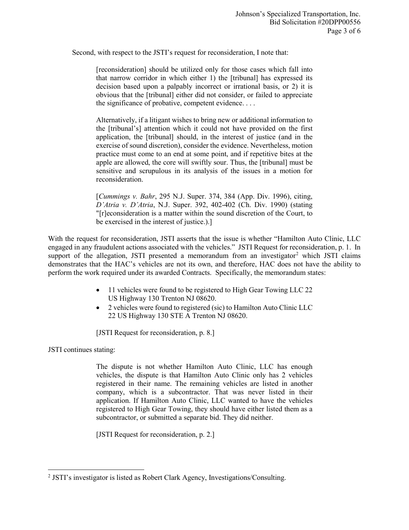Second, with respect to the JSTI's request for reconsideration, I note that:

[reconsideration] should be utilized only for those cases which fall into that narrow corridor in which either 1) the [tribunal] has expressed its decision based upon a palpably incorrect or irrational basis, or 2) it is obvious that the [tribunal] either did not consider, or failed to appreciate the significance of probative, competent evidence. . . .

Alternatively, if a litigant wishes to bring new or additional information to the [tribunal's] attention which it could not have provided on the first application, the [tribunal] should, in the interest of justice (and in the exercise of sound discretion), consider the evidence. Nevertheless, motion practice must come to an end at some point, and if repetitive bites at the apple are allowed, the core will swiftly sour. Thus, the [tribunal] must be sensitive and scrupulous in its analysis of the issues in a motion for reconsideration.

[*Cummings v. Bahr*, 295 N.J. Super. 374, 384 (App. Div. 1996), citing, *D'Atria v. D'Atria*, N.J. Super. 392, 402-402 (Ch. Div. 1990) (stating "[r]econsideration is a matter within the sound discretion of the Court, to be exercised in the interest of justice.).]

With the request for reconsideration, JSTI asserts that the issue is whether "Hamilton Auto Clinic, LLC engaged in any fraudulent actions associated with the vehicles." JSTI Request for reconsideration, p. 1. In support of the allegation, JSTI presented a memorandum from an investigator<sup>[2](#page-2-0)</sup> which JSTI claims demonstrates that the HAC's vehicles are not its own, and therefore, HAC does not have the ability to perform the work required under its awarded Contracts. Specifically, the memorandum states:

- 11 vehicles were found to be registered to High Gear Towing LLC 22 US Highway 130 Trenton NJ 08620.
- 2 vehicles were found to registered (sic) to Hamilton Auto Clinic LLC 22 US Highway 130 STE A Trenton NJ 08620.

[JSTI Request for reconsideration, p. 8.]

JSTI continues stating:

l

The dispute is not whether Hamilton Auto Clinic, LLC has enough vehicles, the dispute is that Hamilton Auto Clinic only has 2 vehicles registered in their name. The remaining vehicles are listed in another company, which is a subcontractor. That was never listed in their application. If Hamilton Auto Clinic, LLC wanted to have the vehicles registered to High Gear Towing, they should have either listed them as a subcontractor, or submitted a separate bid. They did neither.

[JSTI Request for reconsideration, p. 2.]

<span id="page-2-0"></span><sup>2</sup> JSTI's investigator is listed as Robert Clark Agency, Investigations/Consulting.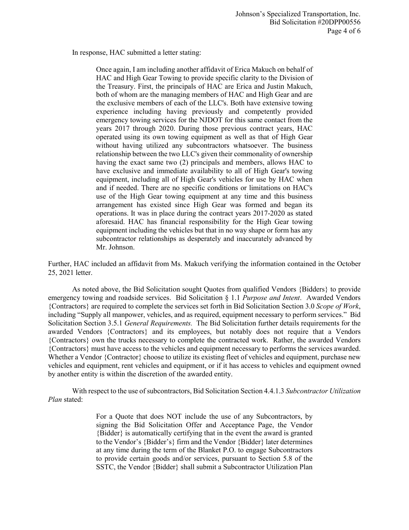In response, HAC submitted a letter stating:

Once again, I am including another affidavit of Erica Makuch on behalf of HAC and High Gear Towing to provide specific clarity to the Division of the Treasury. First, the principals of HAC are Erica and Justin Makuch, both of whom are the managing members of HAC and High Gear and are the exclusive members of each of the LLC's. Both have extensive towing experience including having previously and competently provided emergency towing services for the NJDOT for this same contact from the years 2017 through 2020. During those previous contract years, HAC operated using its own towing equipment as well as that of High Gear without having utilized any subcontractors whatsoever. The business relationship between the two LLC's given their commonality of ownership having the exact same two (2) principals and members, allows HAC to have exclusive and immediate availability to all of High Gear's towing equipment, including all of High Gear's vehicles for use by HAC when and if needed. There are no specific conditions or limitations on HAC's use of the High Gear towing equipment at any time and this business arrangement has existed since High Gear was formed and began its operations. It was in place during the contract years 2017-2020 as stated aforesaid. HAC has financial responsibility for the High Gear towing equipment including the vehicles but that in no way shape or form has any subcontractor relationships as desperately and inaccurately advanced by Mr. Johnson.

Further, HAC included an affidavit from Ms. Makuch verifying the information contained in the October 25, 2021 letter.

As noted above, the Bid Solicitation sought Quotes from qualified Vendors {Bidders} to provide emergency towing and roadside services. Bid Solicitation § 1.1 *Purpose and Intent*. Awarded Vendors {Contractors} are required to complete the services set forth in Bid Solicitation Section 3.0 *Scope of Work*, including "Supply all manpower, vehicles, and as required, equipment necessary to perform services." Bid Solicitation Section 3.5.1 *General Requirements.* The Bid Solicitation further details requirements for the awarded Vendors {Contractors} and its employees, but notably does not require that a Vendors {Contractors} own the trucks necessary to complete the contracted work. Rather, the awarded Vendors {Contractors} must have access to the vehicles and equipment necessary to performs the services awarded. Whether a Vendor {Contractor} choose to utilize its existing fleet of vehicles and equipment, purchase new vehicles and equipment, rent vehicles and equipment, or if it has access to vehicles and equipment owned by another entity is within the discretion of the awarded entity.

With respect to the use of subcontractors, Bid Solicitation Section 4.4.1.3 *Subcontractor Utilization Plan* stated:

> For a Quote that does NOT include the use of any Subcontractors, by signing the Bid Solicitation Offer and Acceptance Page, the Vendor {Bidder} is automatically certifying that in the event the award is granted to the Vendor's {Bidder's} firm and the Vendor {Bidder} later determines at any time during the term of the Blanket P.O. to engage Subcontractors to provide certain goods and/or services, pursuant to Section 5.8 of the SSTC, the Vendor {Bidder} shall submit a Subcontractor Utilization Plan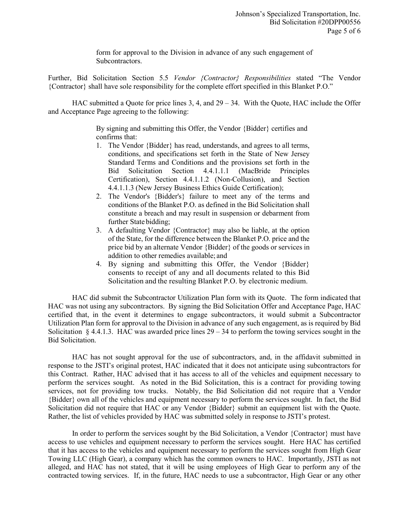form for approval to the Division in advance of any such engagement of Subcontractors.

Further, Bid Solicitation Section 5.5 *Vendor {Contractor} Responsibilities* stated "The Vendor {Contractor} shall have sole responsibility for the complete effort specified in this Blanket P.O."

HAC submitted a Quote for price lines 3, 4, and 29 – 34. With the Quote, HAC include the Offer and Acceptance Page agreeing to the following:

> By signing and submitting this Offer, the Vendor {Bidder} certifies and confirms that:

- 1. The Vendor {Bidder} has read, understands, and agrees to all terms, conditions, and specifications set forth in the State of New Jersey Standard Terms and Conditions and the provisions set forth in the Bid Solicitation Section 4.4.1.1.1 (MacBride Principles Certification), Section 4.4.1.1.2 (Non-Collusion), and Section 4.4.1.1.3 (New Jersey Business Ethics Guide Certification);
- 2. The Vendor's {Bidder's} failure to meet any of the terms and conditions of the Blanket P.O. as defined in the Bid Solicitation shall constitute a breach and may result in suspension or debarment from further State bidding;
- 3. A defaulting Vendor {Contractor} may also be liable, at the option of the State, for the difference between the Blanket P.O. price and the price bid by an alternate Vendor {Bidder} of the goods or services in addition to other remedies available; and
- 4. By signing and submitting this Offer, the Vendor {Bidder} consents to receipt of any and all documents related to this Bid Solicitation and the resulting Blanket P.O. by electronic medium.

HAC did submit the Subcontractor Utilization Plan form with its Quote. The form indicated that HAC was not using any subcontractors. By signing the Bid Solicitation Offer and Acceptance Page, HAC certified that, in the event it determines to engage subcontractors, it would submit a Subcontractor Utilization Plan form for approval to the Division in advance of any such engagement, as is required by Bid Solicitation  $\S$  4.4.1.3. HAC was awarded price lines  $29 - 34$  to perform the towing services sought in the Bid Solicitation.

HAC has not sought approval for the use of subcontractors, and, in the affidavit submitted in response to the JSTI's original protest, HAC indicated that it does not anticipate using subcontractors for this Contract. Rather, HAC advised that it has access to all of the vehicles and equipment necessary to perform the services sought. As noted in the Bid Solicitation, this is a contract for providing towing services, not for providing tow trucks. Notably, the Bid Solicitation did not require that a Vendor {Bidder} own all of the vehicles and equipment necessary to perform the services sought. In fact, the Bid Solicitation did not require that HAC or any Vendor {Bidder} submit an equipment list with the Quote. Rather, the list of vehicles provided by HAC was submitted solely in response to JSTI's protest.

In order to perform the services sought by the Bid Solicitation, a Vendor {Contractor} must have access to use vehicles and equipment necessary to perform the services sought. Here HAC has certified that it has access to the vehicles and equipment necessary to perform the services sought from High Gear Towing LLC (High Gear), a company which has the common owners to HAC. Importantly, JSTI as not alleged, and HAC has not stated, that it will be using employees of High Gear to perform any of the contracted towing services. If, in the future, HAC needs to use a subcontractor, High Gear or any other